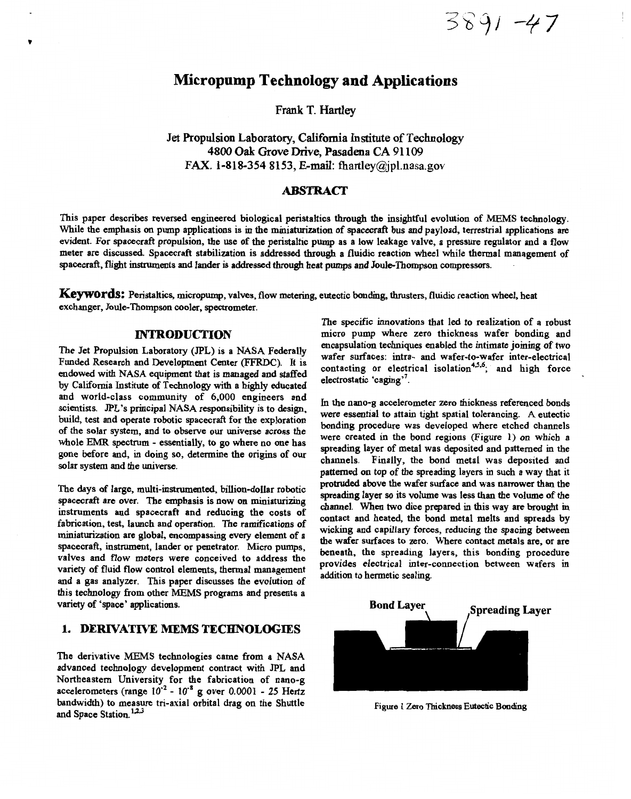3891-47

# **Micropump Technology and Applications**

**Frank T. Hartley** 

**Jet Propulsion Laboratory, California Institute of Technology 4800** *Oak* **Grove Drive, Pasadena CA 9 1 109 FAX. 1-818-354 8153, E-mail: [fhartley@jpl.nasa.gov](mailto:fhartley@jpl.nasa.gov)** 

### **ABSTRACT**

This paper describes reversed engineered biological peristaltics through the insightful evolution of MEMS technology. **While the emphasis** *on* **pump applications is in the miniaturization of spacecraft bus and payload, terrestrial applications are evident. For spacecraft propulsion, the use of the peristaltic pump as a low leakage valve, a pressure regulator and a flow meter are discussed. Spacecraft stabilization is addressed through a fluidic reaction wheel while thermal management of spacecraft, flight instruments and lander** is **addressed** through **heat pumps and JoulaThompson** compressors. .

Keywords: Peristaltics, micropump, valves, flow metering, eutectic bonding, thrusters, fluidic reaction wheel, heat **exchanger, Joule-Thompson cooler, spectrometer.** 

### **INTRODUCTION**

**The Jet Propulsion Laboratory (JPL) is a NASA Federally Funded Research and Development Center (FFRDC). It is endowed with NASA equipment that is managed and staffed by California Institute of Technology with a highly educated and world-class community of** *6,000* **engineers and scientists.** *JPL's* **principal NASA responsibility is to design, build, test and operate robotic spacecraft for the exploration of the solar system, and to observe our universe across the whole** EMR **spectrum** - **essentially, to** *go* **where no one has gone before and, in doing** *so,* **determine the origins of our solar system and the universe.** 

**The days of large, multi-instrumented, billion-dollar robotic spacecraft are over. The emphasis is now on miniaturizing instruments and spacecraft and reducing the costs of fabrication, test, launch and operation. The ramifications of miniaturization are global, encompassing every element of a spacecraft, instrument, lander or penetrator. Micro pumps, valves and flow meters were conceived to address the variety of fluid flow control elements, thermal management and a gas analyzer. This paper discusses the evolution** *of*  **this technology from other MEMS programs and presents a variety of 'space' applications.** 

# **1. DERIVATIVE MEMS TECHNOLOGIES**

**The derivative MEMS technologies came from a NASA advanced technology development contract with JPL and Northeastern University for the fabrication of nano-g accelerometers (range** 10' - **IUS g over 0.0001** - **25 Hertz bandwidth) to measure tri-axial orbital drag on the Shuttle**  and Space Station.<sup>1,2,3</sup>

**The specific innovations that led to realization of a robust micro pump where zero thickness wafer bonding and encapsulation techniques enabled the intimate joining of** *two*  Valer surfaces: intra- and wafer-to-water inter-electrical *assements* **contacting or electrical isolation**  $\alpha$ , and high force **electrostatic 'caging".** 

In **the nano-g accelerometer zero thickness referenced bonds were essential to attain tight spatial tolerancing. A eutectic bonding procedure was developed where etched channels were created in the bond regions (Figure 1) on which a spreading layer of metal was deposited and patterned m the channels. Finally, the bond metal was deposited and patterned on top of the spreading layers** in **such a way that it protruded above the wafer surface and was narrower than the spreading layer** *so* **its volume was less than the volume of the channel. When two dice prepared in this way are brought in contact and heated, the bond metal melts and spreads by wicking and capillary forces, reducing the spacing between the wafer surfaces to zero. Where contact metals are, or are beneath, the spreading layers, this bonding procedure provides electrical inter-connection between wafers in addition to hermetic sealing.** 



**[Figure](#page-4-0) 1 Zero Thickness Eutectic Boading**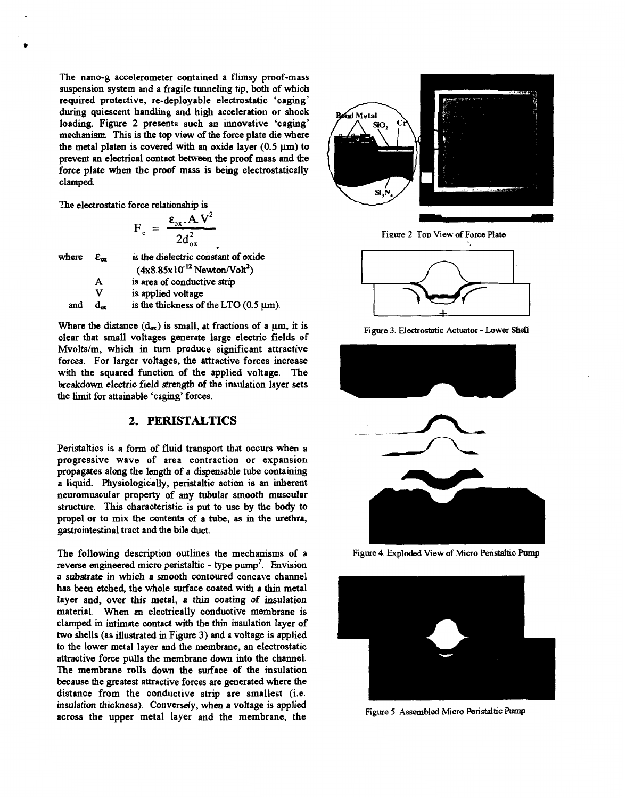<span id="page-1-0"></span>**The nano-g accelerometer contained a flimsy proof-mass suspension system and a fragile tunneling tip, both of which required protective, re-deployable electrostatic 'caging' during quiescent handling and high acceleration or shock loading. Figure 2 presents such an innovative 'caging' mechanism. This is the top view of the force plate die where**  the metal platen is covered with an oxide layer  $(0.5 \text{ }\mu\text{m})$  to **prevent an electrical contact between the proof mass and the force plate when the proof mass is being electrostatically clamped** 

**The electrostatic force relationship** is

$$
F_c = \frac{\varepsilon_{ox} . A V^2}{2 d_{ox}^2},
$$

where **E,** is **the dielectric onstant of oxide** 

 $(4x8.85x10^{-12}$  Newton/Volt<sup>2</sup>) **A is area of conductive strip** 

**V is applied voltage**  and  $d_{\text{av}}$  is the thickness of the LTO  $(0.5 \text{ }\mu\text{m})$ .

Where the distance  $(d_{\alpha x})$  is small, at fractions of a  $\mu$ m, it is **clear that small voltages generate large electric fields of Mvolts/m, which in** turn **produce significant attractive forces. For larger voltages, the attractive forces increase with the squared function of the applied voltage. The breakdown electric field strength of the insulation layer sets the limit for attainable 'caging' forces.** 

# **2. PERISTALTICS**

**Peristaltics is a form of fluid transport that occurs when a progressive wave of area contraction or expansion propagates along the length of a dispensable tube containing a liquid. Physiologically, peristaltic action is an inherent neuromuscular property of any tubular smooth muscular structure. This characteristic is put to** use **by the** *body* **to propel or to mix the contents of a tube, as** in **the urethra, gastrointestinal tract and the bile** duct.

**The following description outlines the mechanisms of a** Figure **4. Exploded** View **of Micro Paistaltic hrmp reverse engineered micro peristaltic** - **type pump'. Envision a substrate in which a smooth contoured concave channel has been etched, the whole surface coated with a thin metal layer and, over this metal, a thin coating of insulation material. When an electrically conductive membrane is clamped in intimate contact with the thin insulation layer of two shells (as illustrated in Figure 3) and a voltage is applied to the lower metal layer and the membrane, an electrostatic attractive force pulls the membrane down into the channel. The membrane rolls down the surface of the insulation because the greatest attractive forces are generated where the distance from the conductive strip are smallest (i.e. insulation thickness). Conversely, when a voltage is applied**  across the upper metal layer and the membrane, the **Figure 5.** Assembled Micro Peristaltic Pump



Figure 2 Top View of Force Plate



Figure **3. Electrostatic Actuator** - Lower **Shell** 



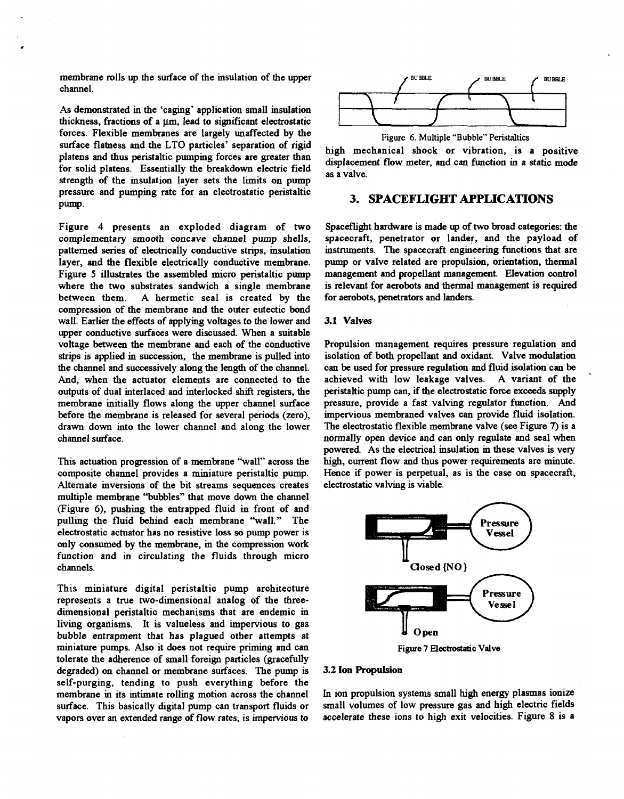**membrane rolls up the surface of the insulation of the upper channel.** 

**As demonstrated in the 'caging' application small insulation**  thickness, fractions of a <sub>1</sub> m, lead to significant electrostatic **forces. Flexible membranes are largely unaffected by the**  surface flatness and the LTO particles' separation of rigid high mechanical shock or vibration, is a positive platens and thus peristaltic pumping forces are greater than **for solid platens. Essentially the breakdown electric field strength of the insulation layer sets the limits on pump pressure and pumping rate for an electrostatic peristaltic**  pump.

**Figure 4 presents an exploded diagram of two complementary smooth concave channel pump shells, patterned series of electrically conductive strips, insulation layer, and the flexible electrically conductive membrane. [Figure 5](#page-1-0) illustrates the assembled micro peristaltic pump where the two substrates sandwich a single membrane**  A hermetic seal is created by the **compression of the membrane and the outer eutectic bond wall. Earlier the effects of applying voltages to the lower and upper conductive surfaces were discussed. When a suitable voltage between the membrane and each of the conductive strips** is **applied in succession, the membrane is pulled into the channel and successively along the length of the channel. And, when the actuator elements are connected to the outputs of dual interlaced and interlocked** shift **registers, the membrane initially flows along the upper channel surface before the membrane is released for several periods (zero), drawn down into the lower channel and along the lower channel surface.** 

**This actuation progression of a membrane "wall" across the composite channel provides a miniature peristaltic pump. Alternate inversions of the bit streams sequences creates multiple membrane "bubbles" that move down the channel (Figure 6), pushing the entrapped fluid in front of and pulling the fluid behind each membrane "wall." The electrostatic actuator has no resistive loss** *so* **pump power is only consumed by the membrane, in the compression work function and in circulating the fluids through micro channels.** 

**This miniature digital peristaltic pump architecture represents a true two-dimensional analog of the threedimensional peristaltic mechanisms that are endemic in living organisms. It is valueless and impervious to gas bubble entrapment hat has plagued other attempts at miniature pumps.** *Also* **it does not require priming and can tolerate the adherence of small foreign particles (gracefully degraded) on channel or membrane surfaces. The pump is self-purging, tending to push everything before the membrane in its intimate rolling motion across the channel surface. This basically digital pump can transport fluids or vapors over an extended range of flow rates, is impervious to** 



Figure 6. Multiple **"Bubble" Peristaltics** 

displacement flow meter, and can function in a static mode **as a valve.** 

# **3. SPACEFLIGHT APPLICATIONS**

**Spaceflight hardware is made** up **of two broad categories: the spacecraft, penetrator or lander, and the payload of instruments. The spacecraft engineering functions that are pump or valve related are propulsion, orientation, thermal management and propellant management. Elevation control**  is **relevant for aerobots and thermal management is required for aerobots, penetrators and landers.** 

#### **3.1 Valves**

**Propulsion management requires pressure regulation and isolation of both propellant and oxidant. Valve modulation can be used for pressure regulation and fluid isolation can be achieved with low leakage valves. A variant of the peristaltic pump can,** if **the electrostatic force exceeds supply pressure, provide a fast valving regulator fimction. And impervious membraned valves can provide fluid isolation. The electrostatic flexible membrane valve** *(see* **Figure 7) is a normally open device and can only regulate and seal when powered As the electrical insulation in these valves is very high, current flow and thus power requirements are minute. Hence** if **power is perpetual, as is the case on spacecraft, electrostatic valving** is **viable.**  regulate and seal<br>n in these valves is<br>equirements are m<br>the case on space<br>Pressure



#### **3.2 ion Propulsion**

In **ion propulsion systems small high energy plasmas ionize small volumes of low pressure gas and high electric fields accelerate these ions to high exit velocities. [Figure 8](#page-3-0) is a**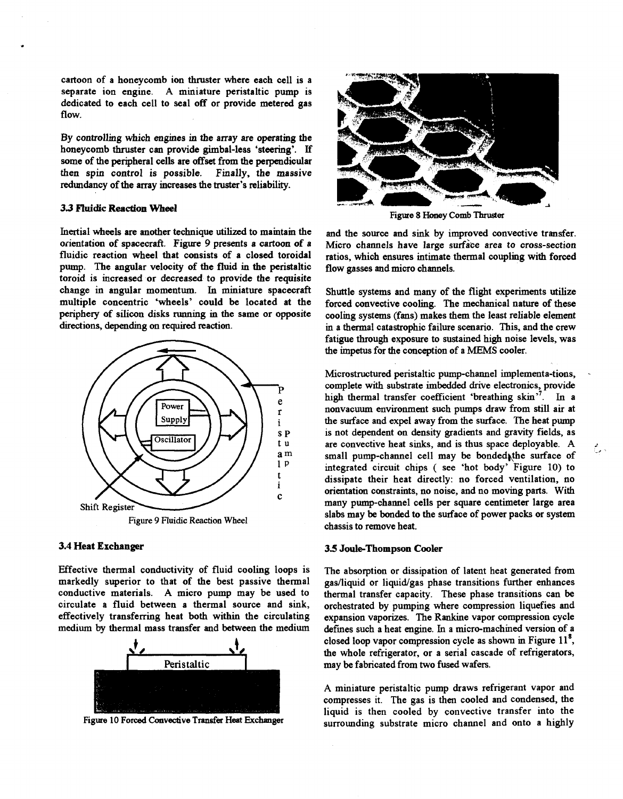<span id="page-3-0"></span>**cartoon of a honeycomb ion thruster where each cell is a separate ion engine. A miniature peristaltic pump is dedicated to each cell to seal off or provide metered gas flow.** 

**By controlling which engines in the array are operating the honeycomb thruster can provide gimbal-less 'steering'.** If some of the peripheral cells are offset from the perpendicular then spin control is possible. Finally, the massive then spin control is possible. **redundancy of the array increases the** truster's **reliability.** 

#### **3.3 F'Iuidic Reaction Wheel**

**Inertial wheels are another technique utilized to maintam the orientation of spacecraft. Figure 9 presents a cartoon of a fluidic reaction wheel that consists of a closed toroidal pump. The angular velocity of the fluid in the peristaltic toroid is increased or decreased to provide the requisite change in angular momentum.** In **miniature spacecraft multiple concentric 'wheels' could be located at the periphery of silicon disks nmning in the same or opposite directions, depending** *on* **required reaction.** 



#### **3.4 Heat Exchanger**

**Effective thermal conductivity of fluid cooling loops is markedly superior to that of the best passive thermal conductive materials. A micro pump may be used to circulate a fluid between a thermal source and sink, effectively transferring heat both within the circulating medium by thermal mass transfer and** between **the medium** 



**Figure 10 Forced Convective Transfer Heat Exchanger** 



**Figure 8 Honey Comb Thruster** 

**and the source and sink by improved convective transfer. Micro channels have large surface area to cross-section ratios, which ensures intimate thermal coupling with forced flow gasses and micro channels.** 

**Shuttle systems and many of the flight experiments utilize forced convective cooling. The mechanical nature of these cooling systems (fans) makes them the least reliable element in a thermal catastrophic failure scenario. This, and the crew**  fatigue through exposure to sustained high noise levels, was **the impetus for the conception of a MEMS cooler.** 

**Microstructured peristaltic pump-channel implementa-tions,** . **complete with substrate imbedded drive electronics, provide high thermal transfer coefficient 'breathing skin".** In **a nonvacuum environment such pumps draw from still air at the surface and expel away from the surface. The heat pump is not dependent on density gradients and gravity fields, as are convective heat sinks, and is thus space deployable. A small pump-channel cell may** be **bondedhthe surface of integrated circuit chips** ( **see 'hot body' Figure 10) to dissipate their heat directly: no forced ventilation, no orientation constraints, no noise, and no moving parts. With many pump-channel cells per square centimeter large area slabs may** be **bonded to the surface of power packs or system chassis to remove heat.** 

#### **3.5 Joule-Thompson Cooler**

**The absorption or dissipation of latent heat generated from**  gas/liquid or liquid/gas phase transitions further enhances **thermal transfer capacity. These phase transitions can** be **orchestrated by pumping where compression liquefies and expansion vaporizes. The Rankine vapor compression cycle defmes such a heat engine.** In **a micro-machined version of a closed loop vapor compression cycle as shown in Figure 11\*, the whole refrigerator, or a serial cascade of refrigerators, may** be **fabricated from two fused wafers.** 

**A miniature peristaltic pump draws refrigerant vapor and compresses it. The gas is then cooled and condensed, the liquid is then cooled by convective transfer into the surrounding substrate micro channel and onto a highly**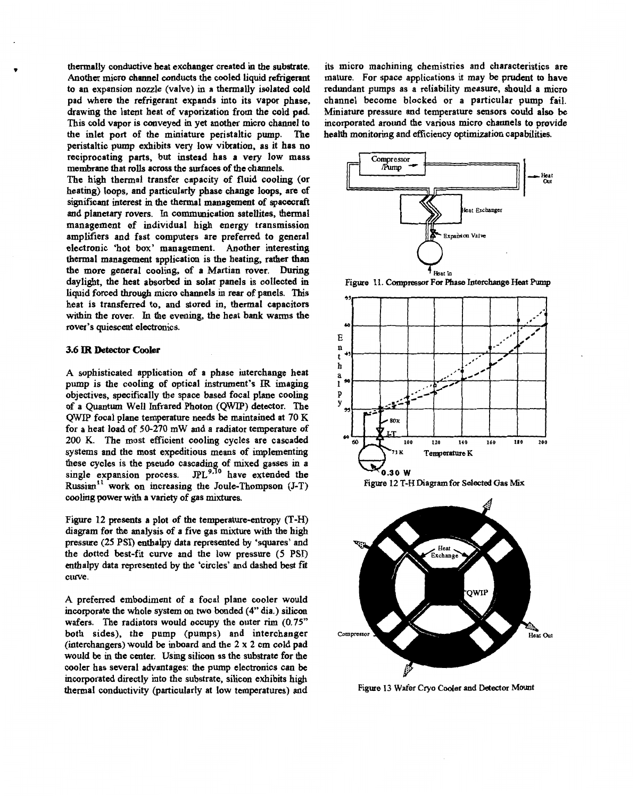<span id="page-4-0"></span>**thermally conductive heat exchanger created in the substrate. Another micro channel conducts the cooled liquid refrigerant**  *to* **an expansion nozzle (valve) in a thermally isolated cold pad where the refrigerant expands into its vapor phase, drawing the latent heat of vaporization from the cold pad. This cold vapor is conveyed in yet another micro channel to the inlet port of the miniature peristaltic pum peristaltic pump exhibits very low vibration, as it has no reciprocating parts, but instead has a very low mass membrane that** rolls **across the surfaces of the channels.** 

**The high thermal transfer capacity of fluid cooling (or heating) loops, and particularly phase change loops, are of significant interest m the thermal management** *of* **spacecraft and planetary rovers.** In **communication satellites, thermal management of individual high energy transmission amplifiers and fast computers are preferred to general electronic 'hot box' management. Another interesting thermal management application is the heating, rather than the more general cooling, of a Martian rover. During daylight, the heat absorbed in solar panels is collected in liquid forced through micro channels in rear of panels. This heat is transferred to, and stored in, thermal capacitors within the rover.** In **the evening, the heat bank warms the rover's quiescent electronics.** 

#### *3.6* IR **Detector Cooler**

**A sophisticated application of a phase interchange heat pump is the cooling of optical instrument's** IR **imaging objectives, specifically the space based focal plane cooling of a Quantum Well Infrared Photon (QWIP) detector. The QWIP focal plane temperature needs** be **maintained at** 70 **K for a heat load of** 50-270 **mW and a radiator temperature** *of*  **200** K. **The most efficient cooling cycles are cascaded systems and the most expeditious means of implementing**  these cycles is the pseudo cascading of mixed gasses in a single expansion process. JPL<sup>9,10</sup> have extended the Russian<sup>11</sup> work on increasing the Joule-Thompson (J-T) **cooling power with a variety of gas mixtures.** 

**Figure** 12 **presents a plot of the temperature-entropy (T-H) diagram for the analysis of a five gas mixture with the high pressure** (25 **PSI) enthalpy data represented by 'squares' and the dotted best-fit curve and the low pressure (5 PSI) enthalpy data represented by the 'circles' and dashed best fit curve.** 

**A preferred embodiment of a focal plane cooler would incorporate the whole system** *on two* **bonded** *(4"* **dia.) silicon wafers. The radiators would occupy the outer rim** (0.75'' **both sides), the pump (pumps) and interchanger (interchangers) would be inboard and the 2 x** 2 **cm cold pad would be** in **the center. Usmg silicon as the substrate for the cooler has several advantages: the pump electronics can** be **incorporated directly into the substrate, silicon exhibits high thermal conductivity (particularly at low temperatures) and** 

**its micro machining chemistries and characteristics are mature. For space applications it may** be **prudent** to **have redundant pumps as a reliability measure, should a micro channel become blocked or a particular pump fail. Miniature pressure and temperature sensors could also** be **incorporated around the various micro channels to provide** 



**4 Hear** Lo **Figure 1 1. Compressor For Phase hterchange Heat** Pump



**Figure 13 Wafer** *Cry0* **Cooler and Dertector Mount**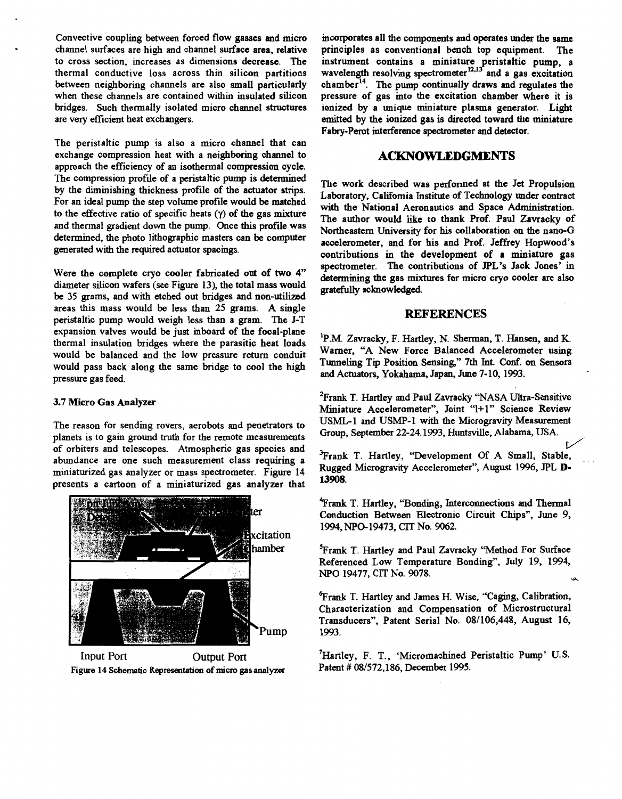**Convective coupling** between **forced flow gasses and micro channel surfaces are high and channel surface area, relative to cross section, increases as dimensions decrease. The thermal conductive loss across thin silicon partitions between neighboring channels are also small particularly when these channels are contained within insulated silicon**  bridges. Such thermally isolated micro channel structures **are very efficient heat exchangers.** 

**The peristaltic pump is also a micro channel that can exchange compression heat with a neighboring channel to approach the efficiency of an isothermal compression cycle. The compression profile of a peristaltic pump is determined by the diminishing thickness profile of the actuator strips. For an ideal pump the step volume profile would be matched to the effective ratio of specific heats** (y) **of the gas mixture and thermal gradient down the pump. Once this profile was determined, the photo lithographic masters can be computer generated with the required actuator spacings.** 

**Were the complete cry0 cooler fabricated out of two** *4"*  **diameter silicon wafers (see [Figure 13\)](#page-4-0), the total mass would**  be **35 grams, and with etched out bridges and non-utilized areas this mass would** be **less than 25 grams. A single peristaltic pump would weigh less than a gram. The J-T expansion valves would** be **just inboard of the focal-plane thermal insulation bridges where the parasitic heat loads would be balanced and the low pressure return conduit would pass back along the same bridge to cool the high pressure gas feed.** 

#### **3.7 Micro Gas Analyzer**

**The reason for sending rovers, aerobots and penetrators to planets is to gain ground truth for the remote measurements of orbiters and telescopes. Atmospheric gas species and abundance are one such measurement class requiring a miniaturized gas analyzer or mass spectrometer. Figure 14 presents a cartoon of a miniaturized gas analyzer that** 



Input Port **Output Port Figure 14 Schematic Representation of micro** *gas* **analyzer** 

**incorporates all the components and operates under the same principles as conventional bench top equipment. The instrument contains a miniature peristaltic pump, a**  wavelength resolving spectrometer<sup>12,13</sup> and a gas excitation chamber<sup>14</sup>. The pump continually draws and regulates the **pressure of gas into the excitation chamber where it is ionized by a unique miniature plasma generator. Light emitted by the ionized gas is directed toward the miniature Fabry-Perot interference spectrometer and detector.** 

# **ACKNOWLEDGMENTS**

**The work described was performed at the Jet Propulsion Laboratory, California Institute of Technology under contract with the National Aeronautics and Space Administration. The author would like to thank Prof. Paul Zavracky of Northeastern University for his collaboration** *on* **the nano-G accelerometer, and for his and Prof. Jeffrey Hopwood's contributions** in **the development of a miniature gas spectrometer. The contributions of JPL's Jack Jones'** in **determining the gas mixtures for micro cry0 cooler are also gratefully acknowledged.** 

#### **REFERENCES**

**'P.M. Zavracky, F. Hartley, N. Sherman, T. Hansen, and K. Warner, "A New Force Balanced Accelerometer using**  Tunneling Tip Position Sensing," 7th Int. Conf. on Sensors **and Actuators, Yokahama, Japan, June 7-10,1993.** 

<sup>2</sup> Frank T. Hartley and Paul Zavracky "NASA Ultra-Sensitive **Miniature Accelerometer", Joint "1+1" Science Review USML-1 and USMP-1 with the Microgravity Measurement Group, September 22-24.1993, Huntsville, Alabama, USA.**  *c/* 

**%rank T. Hartley, 'Development Of A Small, Stable,** . **Rugged Microgravity Accelerometer", August 1996, JPL D-13908.** 

**'!Frank T. Hartley, "Bonding, Interconnections and Thermal Conduction Between Electronic Circuit Chips", June 9, 1994, NPO-19473, CIT No. 9062.** 

**%rank T. Hartley and Paul Zavracky "Method For Surface Referenced Low Temperature Bonding", July 19, 1994,**  *NPO* **19477, CIT No. 9078.**  \*

**%rank T. Hartley and James** H. **Wise, "Caging, Calibration, Characterization and Compensation of Microstructural Transducers", Patent Serial No. 08/106,448, August 16, 1993.** 

<sup>7</sup> Hartley, F. T., 'Micromachined Peristaltic Pump' U.S. **Patent** ## **081572,186, December 1995.**